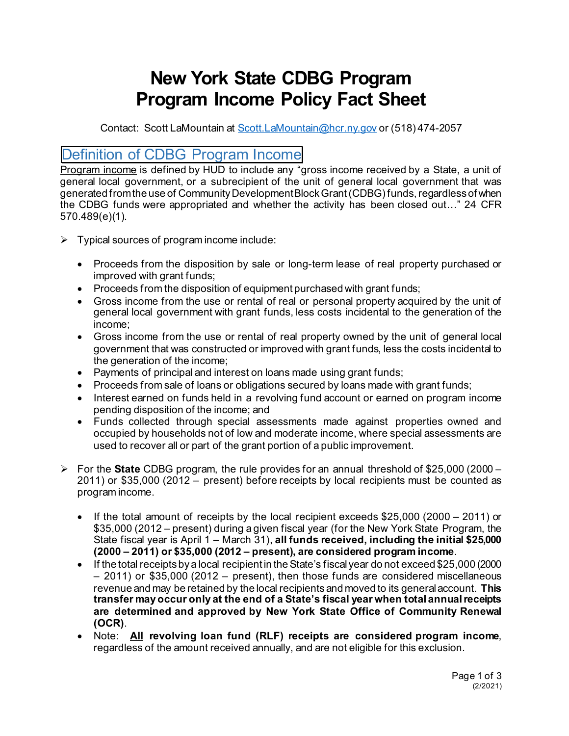# **New York State CDBG Program Program Income Policy Fact Sheet**

Contact: Scott LaMountain at [Scott.LaMountain@hcr.ny.gov](mailto:Scott.LaMountain@hcr.ny.gov) or (518) 474-2057

## Definition of CDBG Program Income

Program income is defined by HUD to include any "gross income received by a State, a unit of general local government, or a subrecipient of the unit of general local government that was generated from the use of Community Development Block Grant (CDBG) funds, regardless of when the CDBG funds were appropriated and whether the activity has been closed out…" 24 CFR 570.489(e)(1).

- $\triangleright$  Typical sources of program income include:
	- Proceeds from the disposition by sale or long-term lease of real property purchased or improved with grant funds;
	- Proceeds from the disposition of equipment purchased with grant funds;
	- Gross income from the use or rental of real or personal property acquired by the unit of general local government with grant funds, less costs incidental to the generation of the income;
	- Gross income from the use or rental of real property owned by the unit of general local government that was constructed or improved with grant funds, less the costs incidental to the generation of the income;
	- Payments of principal and interest on loans made using grant funds;
	- Proceeds from sale of loans or obligations secured by loans made with grant funds;
	- Interest earned on funds held in a revolving fund account or earned on program income pending disposition of the income; and
	- Funds collected through special assessments made against properties owned and occupied by households not of low and moderate income, where special assessments are used to recover all or part of the grant portion of a public improvement.
- For the **State** CDBG program, the rule provides for an annual threshold of \$25,000 (2000 2011) or \$35,000 (2012 – present) before receipts by local recipients must be counted as program income.
	- If the total amount of receipts by the local recipient exceeds \$25,000 (2000 2011) or \$35,000 (2012 – present) during a given fiscal year (for the New York State Program, the State fiscal year is April 1 – March 31), **all funds received, including the initial \$25,000 (2000 – 2011) or \$35,000 (2012 – present), are considered program income**.
	- If the total receipts by a local recipient in the State's fiscal year do not exceed \$25,000 (2000 – 2011) or \$35,000 (2012 – present), then those funds are considered miscellaneous revenue and may be retained by the local recipients and moved to its general account. **This transfer may occur only at the end of a State's fiscal year when total annual receipts are determined and approved by New York State Office of Community Renewal (OCR)**.
	- Note: **All revolving loan fund (RLF) receipts are considered program income**, regardless of the amount received annually, and are not eligible for this exclusion.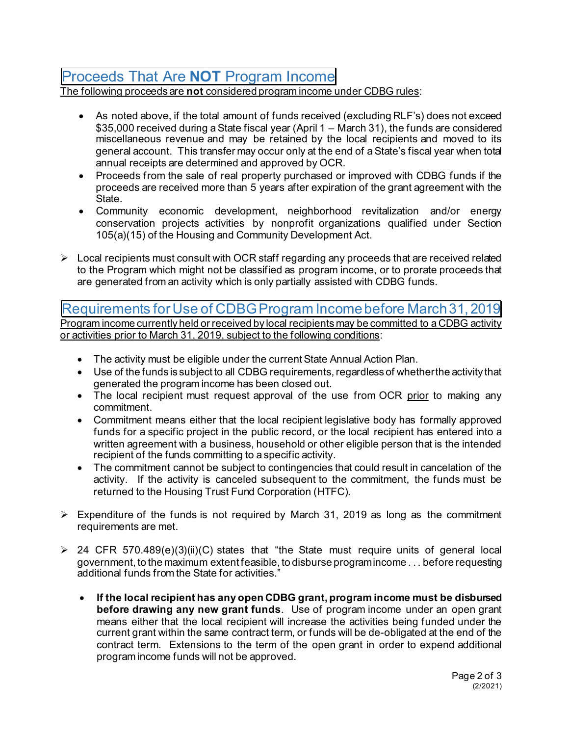# Proceeds That Are **NOT** Program Income

The following proceeds are **not** considered program income under CDBG rules:

- As noted above, if the total amount of funds received (excluding RLF's) does not exceed \$35,000 received during a State fiscal year (April 1 – March 31), the funds are considered miscellaneous revenue and may be retained by the local recipients and moved to its general account. This transfer may occur only at the end of aState's fiscal year when total annual receipts are determined and approved by OCR.
- Proceeds from the sale of real property purchased or improved with CDBG funds if the proceeds are received more than 5 years after expiration of the grant agreement with the State.
- Community economic development, neighborhood revitalization and/or energy conservation projects activities by nonprofit organizations qualified under Section 105(a)(15) of the Housing and Community Development Act.
- $\triangleright$  Local recipients must consult with OCR staff regarding any proceeds that are received related to the Program which might not be classified as program income, or to prorate proceeds that are generated from an activity which is only partially assisted with CDBG funds.

#### Requirements for Use of CDBG Program Income before March 31, 2019 Program income currently held or received by local recipients may be committed to a CDBG activity

or activities prior to March 31, 2019, subject to the following conditions:

- The activity must be eligible under the current State Annual Action Plan.
- Use of the funds is subject to all CDBG requirements, regardless of whether the activity that generated the program income has been closed out.
- The local recipient must request approval of the use from OCR prior to making any commitment.
- Commitment means either that the local recipient legislative body has formally approved funds for a specific project in the public record, or the local recipient has entered into a written agreement with a business, household or other eligible person that is the intended recipient of the funds committing to a specific activity.
- The commitment cannot be subject to contingencies that could result in cancelation of the activity. If the activity is canceled subsequent to the commitment, the funds must be returned to the Housing Trust Fund Corporation (HTFC).
- $\triangleright$  Expenditure of the funds is not required by March 31, 2019 as long as the commitment requirements are met.
- $\geq$  24 CFR 570.489(e)(3)(ii)(C) states that "the State must require units of general local government, to the maximum extent feasible, to disburse program income . . . before requesting additional funds from the State for activities."
	- **If the local recipient has any open CDBG grant, program income must be disbursed before drawing any new grant funds**. Use of program income under an open grant means either that the local recipient will increase the activities being funded under the current grant within the same contract term, or funds will be de-obligated at the end of the contract term. Extensions to the term of the open grant in order to expend additional program income funds will not be approved.